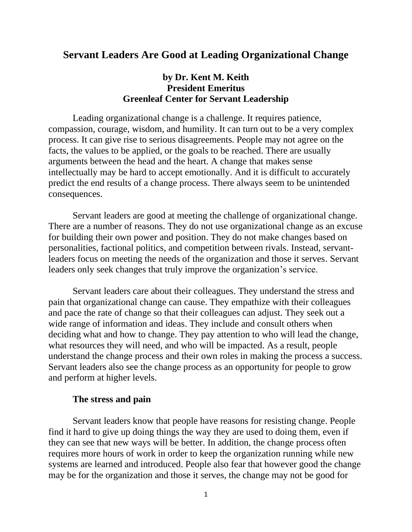# **Servant Leaders Are Good at Leading Organizational Change**

## **by Dr. Kent M. Keith President Emeritus Greenleaf Center for Servant Leadership**

Leading organizational change is a challenge. It requires patience, compassion, courage, wisdom, and humility. It can turn out to be a very complex process. It can give rise to serious disagreements. People may not agree on the facts, the values to be applied, or the goals to be reached. There are usually arguments between the head and the heart. A change that makes sense intellectually may be hard to accept emotionally. And it is difficult to accurately predict the end results of a change process. There always seem to be unintended consequences.

Servant leaders are good at meeting the challenge of organizational change. There are a number of reasons. They do not use organizational change as an excuse for building their own power and position. They do not make changes based on personalities, factional politics, and competition between rivals. Instead, servantleaders focus on meeting the needs of the organization and those it serves. Servant leaders only seek changes that truly improve the organization's service.

Servant leaders care about their colleagues. They understand the stress and pain that organizational change can cause. They empathize with their colleagues and pace the rate of change so that their colleagues can adjust. They seek out a wide range of information and ideas. They include and consult others when deciding what and how to change. They pay attention to who will lead the change, what resources they will need, and who will be impacted. As a result, people understand the change process and their own roles in making the process a success. Servant leaders also see the change process as an opportunity for people to grow and perform at higher levels.

### **The stress and pain**

Servant leaders know that people have reasons for resisting change. People find it hard to give up doing things the way they are used to doing them, even if they can see that new ways will be better. In addition, the change process often requires more hours of work in order to keep the organization running while new systems are learned and introduced. People also fear that however good the change may be for the organization and those it serves, the change may not be good for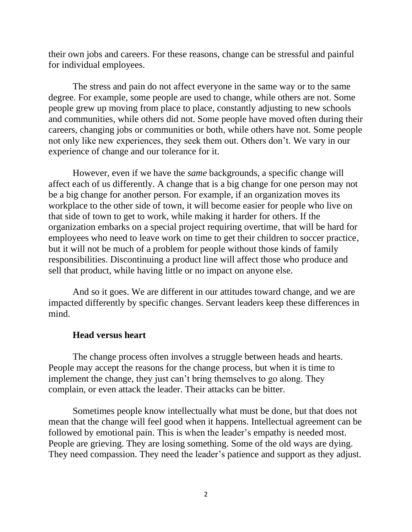their own jobs and careers. For these reasons, change can be stressful and painful for individual employees.

The stress and pain do not affect everyone in the same way or to the same degree. For example, some people are used to change, while others are not. Some people grew up moving from place to place, constantly adjusting to new schools and communities, while others did not. Some people have moved often during their careers, changing jobs or communities or both, while others have not. Some people not only like new experiences, they seek them out. Others don't. We vary in our experience of change and our tolerance for it.

However, even if we have the *same* backgrounds, a specific change will affect each of us differently. A change that is a big change for one person may not be a big change for another person. For example, if an organization moves its workplace to the other side of town, it will become easier for people who live on that side of town to get to work, while making it harder for others. If the organization embarks on a special project requiring overtime, that will be hard for employees who need to leave work on time to get their children to soccer practice, but it will not be much of a problem for people without those kinds of family responsibilities. Discontinuing a product line will affect those who produce and sell that product, while having little or no impact on anyone else.

And so it goes. We are different in our attitudes toward change, and we are impacted differently by specific changes. Servant leaders keep these differences in mind.

### **Head versus heart**

The change process often involves a struggle between heads and hearts. People may accept the reasons for the change process, but when it is time to implement the change, they just can't bring themselves to go along. They complain, or even attack the leader. Their attacks can be bitter.

Sometimes people know intellectually what must be done, but that does not mean that the change will feel good when it happens. Intellectual agreement can be followed by emotional pain. This is when the leader's empathy is needed most. People are grieving. They are losing something. Some of the old ways are dying. They need compassion. They need the leader's patience and support as they adjust.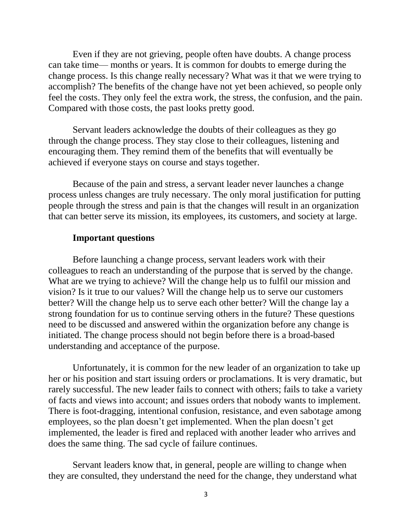Even if they are not grieving, people often have doubts. A change process can take time— months or years. It is common for doubts to emerge during the change process. Is this change really necessary? What was it that we were trying to accomplish? The benefits of the change have not yet been achieved, so people only feel the costs. They only feel the extra work, the stress, the confusion, and the pain. Compared with those costs, the past looks pretty good.

Servant leaders acknowledge the doubts of their colleagues as they go through the change process. They stay close to their colleagues, listening and encouraging them. They remind them of the benefits that will eventually be achieved if everyone stays on course and stays together.

Because of the pain and stress, a servant leader never launches a change process unless changes are truly necessary. The only moral justification for putting people through the stress and pain is that the changes will result in an organization that can better serve its mission, its employees, its customers, and society at large.

#### **Important questions**

Before launching a change process, servant leaders work with their colleagues to reach an understanding of the purpose that is served by the change. What are we trying to achieve? Will the change help us to fulfil our mission and vision? Is it true to our values? Will the change help us to serve our customers better? Will the change help us to serve each other better? Will the change lay a strong foundation for us to continue serving others in the future? These questions need to be discussed and answered within the organization before any change is initiated. The change process should not begin before there is a broad-based understanding and acceptance of the purpose.

Unfortunately, it is common for the new leader of an organization to take up her or his position and start issuing orders or proclamations. It is very dramatic, but rarely successful. The new leader fails to connect with others; fails to take a variety of facts and views into account; and issues orders that nobody wants to implement. There is foot-dragging, intentional confusion, resistance, and even sabotage among employees, so the plan doesn't get implemented. When the plan doesn't get implemented, the leader is fired and replaced with another leader who arrives and does the same thing. The sad cycle of failure continues.

Servant leaders know that, in general, people are willing to change when they are consulted, they understand the need for the change, they understand what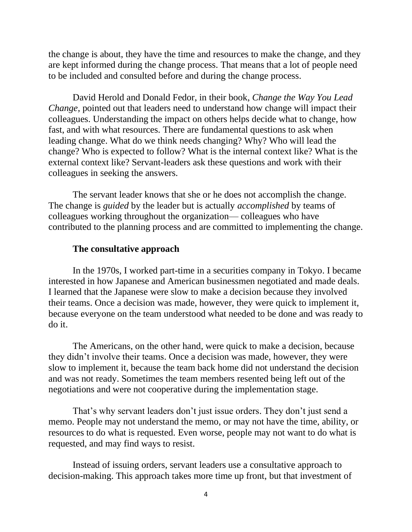the change is about, they have the time and resources to make the change, and they are kept informed during the change process. That means that a lot of people need to be included and consulted before and during the change process.

David Herold and Donald Fedor, in their book, *Change the Way You Lead Change,* pointed out that leaders need to understand how change will impact their colleagues. Understanding the impact on others helps decide what to change, how fast, and with what resources. There are fundamental questions to ask when leading change. What do we think needs changing? Why? Who will lead the change? Who is expected to follow? What is the internal context like? What is the external context like? Servant-leaders ask these questions and work with their colleagues in seeking the answers.

The servant leader knows that she or he does not accomplish the change. The change is *guided* by the leader but is actually *accomplished* by teams of colleagues working throughout the organization— colleagues who have contributed to the planning process and are committed to implementing the change.

#### **The consultative approach**

In the 1970s, I worked part-time in a securities company in Tokyo. I became interested in how Japanese and American businessmen negotiated and made deals. I learned that the Japanese were slow to make a decision because they involved their teams. Once a decision was made, however, they were quick to implement it, because everyone on the team understood what needed to be done and was ready to do it.

The Americans, on the other hand, were quick to make a decision, because they didn't involve their teams. Once a decision was made, however, they were slow to implement it, because the team back home did not understand the decision and was not ready. Sometimes the team members resented being left out of the negotiations and were not cooperative during the implementation stage.

That's why servant leaders don't just issue orders. They don't just send a memo. People may not understand the memo, or may not have the time, ability, or resources to do what is requested. Even worse, people may not want to do what is requested, and may find ways to resist.

Instead of issuing orders, servant leaders use a consultative approach to decision-making. This approach takes more time up front, but that investment of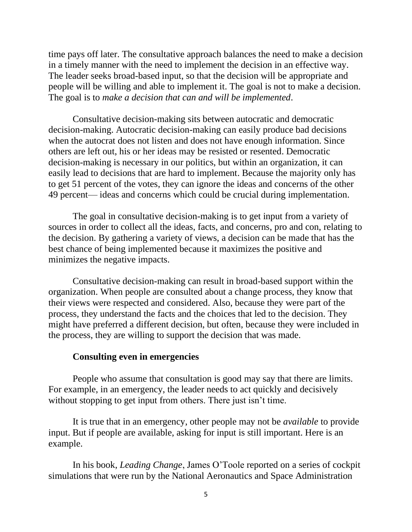time pays off later. The consultative approach balances the need to make a decision in a timely manner with the need to implement the decision in an effective way. The leader seeks broad-based input, so that the decision will be appropriate and people will be willing and able to implement it. The goal is not to make a decision. The goal is to *make a decision that can and will be implemented*.

Consultative decision-making sits between autocratic and democratic decision-making. Autocratic decision-making can easily produce bad decisions when the autocrat does not listen and does not have enough information. Since others are left out, his or her ideas may be resisted or resented. Democratic decision-making is necessary in our politics, but within an organization, it can easily lead to decisions that are hard to implement. Because the majority only has to get 51 percent of the votes, they can ignore the ideas and concerns of the other 49 percent— ideas and concerns which could be crucial during implementation.

The goal in consultative decision-making is to get input from a variety of sources in order to collect all the ideas, facts, and concerns, pro and con, relating to the decision. By gathering a variety of views, a decision can be made that has the best chance of being implemented because it maximizes the positive and minimizes the negative impacts.

Consultative decision-making can result in broad-based support within the organization. When people are consulted about a change process, they know that their views were respected and considered. Also, because they were part of the process, they understand the facts and the choices that led to the decision. They might have preferred a different decision, but often, because they were included in the process, they are willing to support the decision that was made.

#### **Consulting even in emergencies**

People who assume that consultation is good may say that there are limits. For example, in an emergency, the leader needs to act quickly and decisively without stopping to get input from others. There just isn't time.

It is true that in an emergency, other people may not be *available* to provide input. But if people are available, asking for input is still important. Here is an example.

In his book, *Leading Change*, James O'Toole reported on a series of cockpit simulations that were run by the National Aeronautics and Space Administration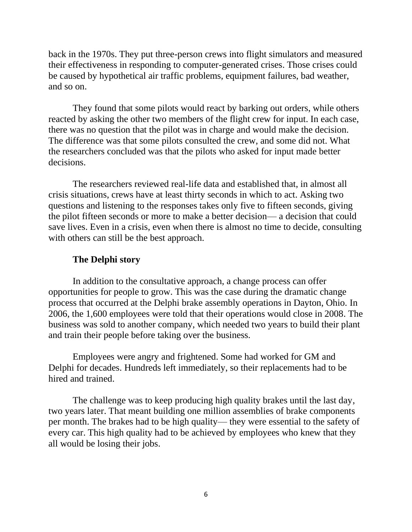back in the 1970s. They put three-person crews into flight simulators and measured their effectiveness in responding to computer-generated crises. Those crises could be caused by hypothetical air traffic problems, equipment failures, bad weather, and so on.

They found that some pilots would react by barking out orders, while others reacted by asking the other two members of the flight crew for input. In each case, there was no question that the pilot was in charge and would make the decision. The difference was that some pilots consulted the crew, and some did not. What the researchers concluded was that the pilots who asked for input made better decisions.

The researchers reviewed real-life data and established that, in almost all crisis situations, crews have at least thirty seconds in which to act. Asking two questions and listening to the responses takes only five to fifteen seconds, giving the pilot fifteen seconds or more to make a better decision— a decision that could save lives. Even in a crisis, even when there is almost no time to decide, consulting with others can still be the best approach.

### **The Delphi story**

In addition to the consultative approach, a change process can offer opportunities for people to grow. This was the case during the dramatic change process that occurred at the Delphi brake assembly operations in Dayton, Ohio. In 2006, the 1,600 employees were told that their operations would close in 2008. The business was sold to another company, which needed two years to build their plant and train their people before taking over the business.

Employees were angry and frightened. Some had worked for GM and Delphi for decades. Hundreds left immediately, so their replacements had to be hired and trained.

The challenge was to keep producing high quality brakes until the last day, two years later. That meant building one million assemblies of brake components per month. The brakes had to be high quality— they were essential to the safety of every car. This high quality had to be achieved by employees who knew that they all would be losing their jobs.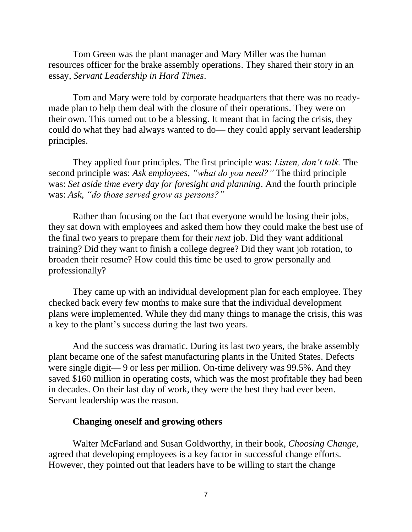Tom Green was the plant manager and Mary Miller was the human resources officer for the brake assembly operations. They shared their story in an essay, *Servant Leadership in Hard Times*.

Tom and Mary were told by corporate headquarters that there was no readymade plan to help them deal with the closure of their operations. They were on their own. This turned out to be a blessing. It meant that in facing the crisis, they could do what they had always wanted to do— they could apply servant leadership principles.

They applied four principles. The first principle was: *Listen, don't talk.* The second principle was: *Ask employees, "what do you need?"* The third principle was: *Set aside time every day for foresight and planning*. And the fourth principle was: *Ask, "do those served grow as persons?"*

Rather than focusing on the fact that everyone would be losing their jobs, they sat down with employees and asked them how they could make the best use of the final two years to prepare them for their *next* job. Did they want additional training? Did they want to finish a college degree? Did they want job rotation, to broaden their resume? How could this time be used to grow personally and professionally?

They came up with an individual development plan for each employee. They checked back every few months to make sure that the individual development plans were implemented. While they did many things to manage the crisis, this was a key to the plant's success during the last two years.

And the success was dramatic. During its last two years, the brake assembly plant became one of the safest manufacturing plants in the United States. Defects were single digit— 9 or less per million. On-time delivery was 99.5%. And they saved \$160 million in operating costs, which was the most profitable they had been in decades. On their last day of work, they were the best they had ever been. Servant leadership was the reason.

### **Changing oneself and growing others**

Walter McFarland and Susan Goldworthy, in their book, *Choosing Change,*  agreed that developing employees is a key factor in successful change efforts. However, they pointed out that leaders have to be willing to start the change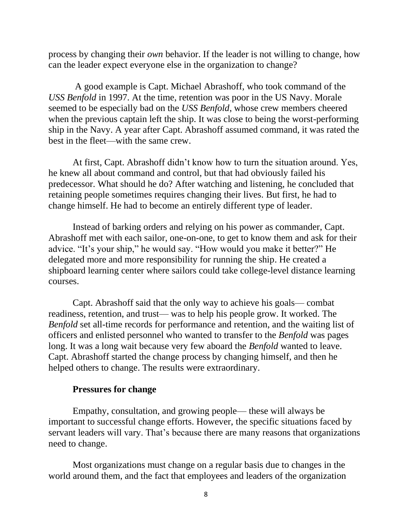process by changing their *own* behavior. If the leader is not willing to change, how can the leader expect everyone else in the organization to change?

A good example is Capt. Michael Abrashoff, who took command of the *USS Benfold* in 1997. At the time, retention was poor in the US Navy. Morale seemed to be especially bad on the *USS Benfold*, whose crew members cheered when the previous captain left the ship. It was close to being the worst-performing ship in the Navy. A year after Capt. Abrashoff assumed command, it was rated the best in the fleet—with the same crew.

At first, Capt. Abrashoff didn't know how to turn the situation around. Yes, he knew all about command and control, but that had obviously failed his predecessor. What should he do? After watching and listening, he concluded that retaining people sometimes requires changing their lives. But first, he had to change himself. He had to become an entirely different type of leader.

Instead of barking orders and relying on his power as commander, Capt. Abrashoff met with each sailor, one-on-one, to get to know them and ask for their advice. "It's your ship," he would say. "How would you make it better?" He delegated more and more responsibility for running the ship. He created a shipboard learning center where sailors could take college-level distance learning courses.

Capt. Abrashoff said that the only way to achieve his goals— combat readiness, retention, and trust— was to help his people grow. It worked. The *Benfold* set all-time records for performance and retention, and the waiting list of officers and enlisted personnel who wanted to transfer to the *Benfold* was pages long. It was a long wait because very few aboard the *Benfold* wanted to leave. Capt. Abrashoff started the change process by changing himself, and then he helped others to change. The results were extraordinary.

### **Pressures for change**

Empathy, consultation, and growing people— these will always be important to successful change efforts. However, the specific situations faced by servant leaders will vary. That's because there are many reasons that organizations need to change.

Most organizations must change on a regular basis due to changes in the world around them, and the fact that employees and leaders of the organization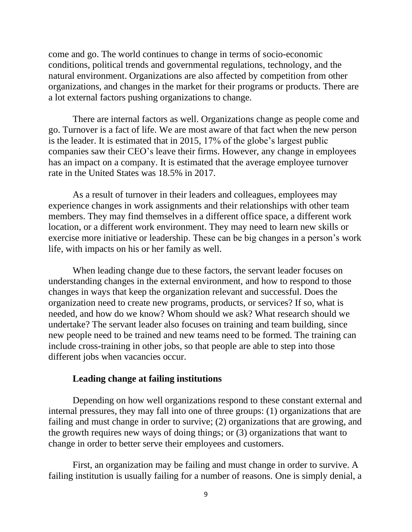come and go. The world continues to change in terms of socio-economic conditions, political trends and governmental regulations, technology, and the natural environment. Organizations are also affected by competition from other organizations, and changes in the market for their programs or products. There are a lot external factors pushing organizations to change.

There are internal factors as well. Organizations change as people come and go. Turnover is a fact of life. We are most aware of that fact when the new person is the leader. It is estimated that in 2015, 17% of the globe's largest public companies saw their CEO's leave their firms. However, any change in employees has an impact on a company. It is estimated that the average employee turnover rate in the United States was 18.5% in 2017.

As a result of turnover in their leaders and colleagues, employees may experience changes in work assignments and their relationships with other team members. They may find themselves in a different office space, a different work location, or a different work environment. They may need to learn new skills or exercise more initiative or leadership. These can be big changes in a person's work life, with impacts on his or her family as well.

When leading change due to these factors, the servant leader focuses on understanding changes in the external environment, and how to respond to those changes in ways that keep the organization relevant and successful. Does the organization need to create new programs, products, or services? If so, what is needed, and how do we know? Whom should we ask? What research should we undertake? The servant leader also focuses on training and team building, since new people need to be trained and new teams need to be formed. The training can include cross-training in other jobs, so that people are able to step into those different jobs when vacancies occur.

#### **Leading change at failing institutions**

Depending on how well organizations respond to these constant external and internal pressures, they may fall into one of three groups: (1) organizations that are failing and must change in order to survive; (2) organizations that are growing, and the growth requires new ways of doing things; or (3) organizations that want to change in order to better serve their employees and customers.

First, an organization may be failing and must change in order to survive. A failing institution is usually failing for a number of reasons. One is simply denial, a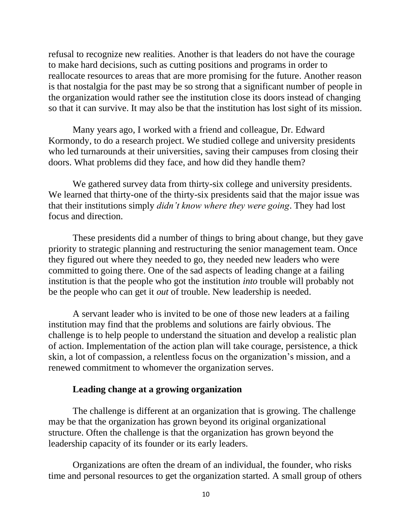refusal to recognize new realities. Another is that leaders do not have the courage to make hard decisions, such as cutting positions and programs in order to reallocate resources to areas that are more promising for the future. Another reason is that nostalgia for the past may be so strong that a significant number of people in the organization would rather see the institution close its doors instead of changing so that it can survive. It may also be that the institution has lost sight of its mission.

Many years ago, I worked with a friend and colleague, Dr. Edward Kormondy, to do a research project. We studied college and university presidents who led turnarounds at their universities, saving their campuses from closing their doors. What problems did they face, and how did they handle them?

We gathered survey data from thirty-six college and university presidents. We learned that thirty-one of the thirty-six presidents said that the major issue was that their institutions simply *didn't know where they were going*. They had lost focus and direction.

These presidents did a number of things to bring about change, but they gave priority to strategic planning and restructuring the senior management team. Once they figured out where they needed to go, they needed new leaders who were committed to going there. One of the sad aspects of leading change at a failing institution is that the people who got the institution *into* trouble will probably not be the people who can get it *out* of trouble. New leadership is needed.

A servant leader who is invited to be one of those new leaders at a failing institution may find that the problems and solutions are fairly obvious. The challenge is to help people to understand the situation and develop a realistic plan of action. Implementation of the action plan will take courage, persistence, a thick skin, a lot of compassion, a relentless focus on the organization's mission, and a renewed commitment to whomever the organization serves.

### **Leading change at a growing organization**

The challenge is different at an organization that is growing. The challenge may be that the organization has grown beyond its original organizational structure. Often the challenge is that the organization has grown beyond the leadership capacity of its founder or its early leaders.

Organizations are often the dream of an individual, the founder, who risks time and personal resources to get the organization started. A small group of others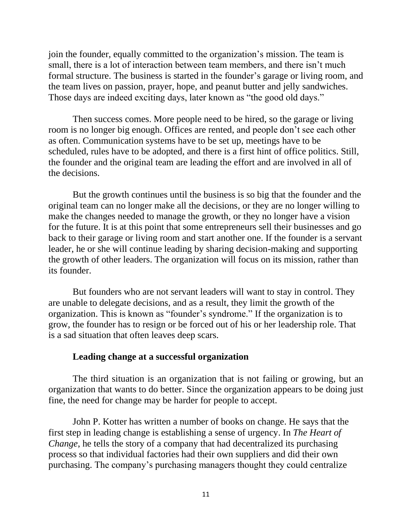join the founder, equally committed to the organization's mission. The team is small, there is a lot of interaction between team members, and there isn't much formal structure. The business is started in the founder's garage or living room, and the team lives on passion, prayer, hope, and peanut butter and jelly sandwiches. Those days are indeed exciting days, later known as "the good old days."

Then success comes. More people need to be hired, so the garage or living room is no longer big enough. Offices are rented, and people don't see each other as often. Communication systems have to be set up, meetings have to be scheduled, rules have to be adopted, and there is a first hint of office politics. Still, the founder and the original team are leading the effort and are involved in all of the decisions.

But the growth continues until the business is so big that the founder and the original team can no longer make all the decisions, or they are no longer willing to make the changes needed to manage the growth, or they no longer have a vision for the future. It is at this point that some entrepreneurs sell their businesses and go back to their garage or living room and start another one. If the founder is a servant leader, he or she will continue leading by sharing decision-making and supporting the growth of other leaders. The organization will focus on its mission, rather than its founder.

But founders who are not servant leaders will want to stay in control. They are unable to delegate decisions, and as a result, they limit the growth of the organization. This is known as "founder's syndrome." If the organization is to grow, the founder has to resign or be forced out of his or her leadership role. That is a sad situation that often leaves deep scars.

#### **Leading change at a successful organization**

The third situation is an organization that is not failing or growing, but an organization that wants to do better. Since the organization appears to be doing just fine, the need for change may be harder for people to accept.

John P. Kotter has written a number of books on change. He says that the first step in leading change is establishing a sense of urgency. In *The Heart of Change*, he tells the story of a company that had decentralized its purchasing process so that individual factories had their own suppliers and did their own purchasing. The company's purchasing managers thought they could centralize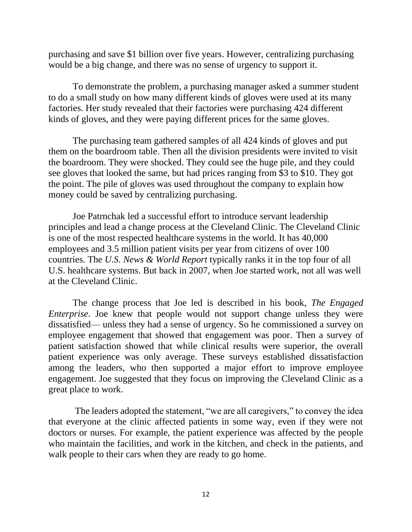purchasing and save \$1 billion over five years. However, centralizing purchasing would be a big change, and there was no sense of urgency to support it.

To demonstrate the problem, a purchasing manager asked a summer student to do a small study on how many different kinds of gloves were used at its many factories. Her study revealed that their factories were purchasing 424 different kinds of gloves, and they were paying different prices for the same gloves.

The purchasing team gathered samples of all 424 kinds of gloves and put them on the boardroom table. Then all the division presidents were invited to visit the boardroom. They were shocked. They could see the huge pile, and they could see gloves that looked the same, but had prices ranging from \$3 to \$10. They got the point. The pile of gloves was used throughout the company to explain how money could be saved by centralizing purchasing.

Joe Patrnchak led a successful effort to introduce servant leadership principles and lead a change process at the Cleveland Clinic. The Cleveland Clinic is one of the most respected healthcare systems in the world. It has 40,000 employees and 3.5 million patient visits per year from citizens of over 100 countries. The *U.S. News & World Report* typically ranks it in the top four of all U.S. healthcare systems. But back in 2007, when Joe started work, not all was well at the Cleveland Clinic.

The change process that Joe led is described in his book, *The Engaged Enterprise.* Joe knew that people would not support change unless they were dissatisfied— unless they had a sense of urgency. So he commissioned a survey on employee engagement that showed that engagement was poor. Then a survey of patient satisfaction showed that while clinical results were superior, the overall patient experience was only average. These surveys established dissatisfaction among the leaders, who then supported a major effort to improve employee engagement. Joe suggested that they focus on improving the Cleveland Clinic as a great place to work.

The leaders adopted the statement, "we are all caregivers," to convey the idea that everyone at the clinic affected patients in some way, even if they were not doctors or nurses. For example, the patient experience was affected by the people who maintain the facilities, and work in the kitchen, and check in the patients, and walk people to their cars when they are ready to go home.